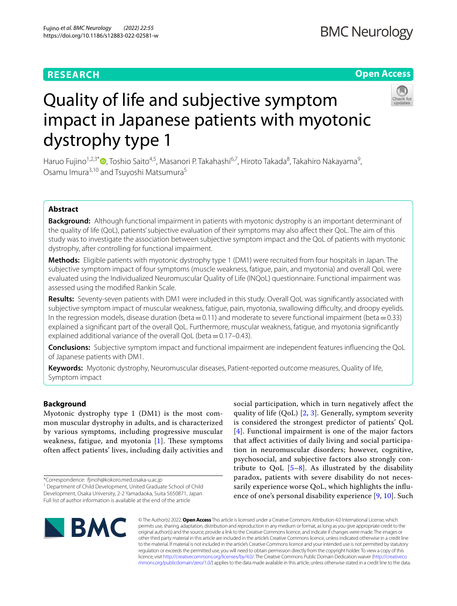# **RESEARCH**

# **Open Access**



# Quality of life and subjective symptom impact in Japanese patients with myotonic dystrophy type 1

Haruo Fujino<sup>1,2,3\*</sup>®[,](https://orcid.org/0000-0002-8889-1199) Toshio Saito<sup>4,5</sup>, Masanori P. Takahashi<sup>6,7</sup>, Hiroto Takada<sup>8</sup>, Takahiro Nakayama<sup>9</sup>, Osamu Imura<sup>3,10</sup> and Tsuyoshi Matsumura<sup>5</sup>

# **Abstract**

**Background:** Although functional impairment in patients with myotonic dystrophy is an important determinant of the quality of life (QoL), patients' subjective evaluation of their symptoms may also afect their QoL. The aim of this study was to investigate the association between subjective symptom impact and the QoL of patients with myotonic dystrophy, after controlling for functional impairment.

**Methods:** Eligible patients with myotonic dystrophy type 1 (DM1) were recruited from four hospitals in Japan. The subjective symptom impact of four symptoms (muscle weakness, fatigue, pain, and myotonia) and overall QoL were evaluated using the Individualized Neuromuscular Quality of Life (INQoL) questionnaire. Functional impairment was assessed using the modifed Rankin Scale.

**Results:** Seventy-seven patients with DM1 were included in this study. Overall QoL was signifcantly associated with subjective symptom impact of muscular weakness, fatigue, pain, myotonia, swallowing difculty, and droopy eyelids. In the regression models, disease duration (beta =  $0.11$ ) and moderate to severe functional impairment (beta =  $0.33$ ) explained a signifcant part of the overall QoL. Furthermore, muscular weakness, fatigue, and myotonia signifcantly explained additional variance of the overall QoL (beta=0.17–0.43).

**Conclusions:** Subjective symptom impact and functional impairment are independent features infuencing the QoL of Japanese patients with DM1.

**Keywords:** Myotonic dystrophy, Neuromuscular diseases, Patient-reported outcome measures, Quality of life, Symptom impact

# **Background**

Myotonic dystrophy type 1 (DM1) is the most common muscular dystrophy in adults, and is characterized by various symptoms, including progressive muscular weakness, fatigue, and myotonia  $[1]$  $[1]$ . These symptoms often afect patients' lives, including daily activities and

\*Correspondence: finoh@kokoro.med.osaka-u.ac.jp

social participation, which in turn negatively afect the quality of life  $(QoL)$  [[2,](#page-5-1) [3\]](#page-5-2). Generally, symptom severity is considered the strongest predictor of patients' QoL [[4](#page-5-3)]. Functional impairment is one of the major factors that afect activities of daily living and social participation in neuromuscular disorders; however, cognitive, psychosocial, and subjective factors also strongly contribute to QoL  $[5-8]$  $[5-8]$ . As illustrated by the disability paradox, patients with severe disability do not necessarily experience worse QoL, which highlights the infuence of one's personal disability experience [\[9](#page-5-6), [10](#page-5-7)]. Such



© The Author(s) 2022. **Open Access** This article is licensed under a Creative Commons Attribution 4.0 International License, which permits use, sharing, adaptation, distribution and reproduction in any medium or format, as long as you give appropriate credit to the original author(s) and the source, provide a link to the Creative Commons licence, and indicate if changes were made. The images or other third party material in this article are included in the article's Creative Commons licence, unless indicated otherwise in a credit line to the material. If material is not included in the article's Creative Commons licence and your intended use is not permitted by statutory regulation or exceeds the permitted use, you will need to obtain permission directly from the copyright holder. To view a copy of this licence, visit [http://creativecommons.org/licenses/by/4.0/.](http://creativecommons.org/licenses/by/4.0/) The Creative Commons Public Domain Dedication waiver ([http://creativeco](http://creativecommons.org/publicdomain/zero/1.0/) [mmons.org/publicdomain/zero/1.0/](http://creativecommons.org/publicdomain/zero/1.0/)) applies to the data made available in this article, unless otherwise stated in a credit line to the data.

<sup>&</sup>lt;sup>1</sup> Department of Child Development, United Graduate School of Child Development, Osaka University, 2-2 Yamadaoka, Suita 5650871, Japan Full list of author information is available at the end of the article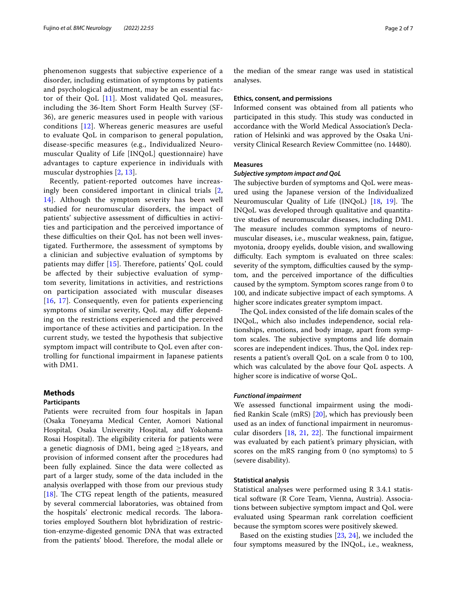phenomenon suggests that subjective experience of a disorder, including estimation of symptoms by patients and psychological adjustment, may be an essential factor of their QoL  $[11]$  $[11]$ . Most validated QoL measures, including the 36-Item Short Form Health Survey (SF-36), are generic measures used in people with various conditions [[12\]](#page-5-9). Whereas generic measures are useful to evaluate QoL in comparison to general population, disease-specifc measures (e.g., Individualized Neuromuscular Quality of Life [INQoL] questionnaire) have advantages to capture experience in individuals with muscular dystrophies [[2,](#page-5-1) [13\]](#page-5-10).

Recently, patient-reported outcomes have increasingly been considered important in clinical trials [\[2](#page-5-1), [14\]](#page-5-11). Although the symptom severity has been well studied for neuromuscular disorders, the impact of patients' subjective assessment of difficulties in activities and participation and the perceived importance of these difficulties on their QoL has not been well investigated. Furthermore, the assessment of symptoms by a clinician and subjective evaluation of symptoms by patients may differ  $[15]$  $[15]$ . Therefore, patients' QoL could be afected by their subjective evaluation of symptom severity, limitations in activities, and restrictions on participation associated with muscular diseases [[16](#page-5-13), [17](#page-5-14)]. Consequently, even for patients experiencing symptoms of similar severity, QoL may difer depending on the restrictions experienced and the perceived importance of these activities and participation. In the current study, we tested the hypothesis that subjective symptom impact will contribute to QoL even after controlling for functional impairment in Japanese patients with DM1.

# **Methods**

# **Participants**

Patients were recruited from four hospitals in Japan (Osaka Toneyama Medical Center, Aomori National Hospital, Osaka University Hospital, and Yokohama Rosai Hospital). The eligibility criteria for patients were a genetic diagnosis of DM1, being aged  $\geq$ 18 years, and provision of informed consent after the procedures had been fully explained. Since the data were collected as part of a larger study, some of the data included in the analysis overlapped with those from our previous study [[18\]](#page-5-15). The CTG repeat length of the patients, measured by several commercial laboratories, was obtained from the hospitals' electronic medical records. The laboratories employed Southern blot hybridization of restriction-enzyme-digested genomic DNA that was extracted from the patients' blood. Therefore, the modal allele or the median of the smear range was used in statistical analyses.

# **Ethics, consent, and permissions**

Informed consent was obtained from all patients who participated in this study. This study was conducted in accordance with the World Medical Association's Declaration of Helsinki and was approved by the Osaka University Clinical Research Review Committee (no. 14480).

### **Measures**

# *Subjective symptom impact and QoL*

The subjective burden of symptoms and QoL were measured using the Japanese version of the Individualized Neuromuscular Quality of Life (INQoL) [\[18](#page-5-15), [19\]](#page-5-16). The INQoL was developed through qualitative and quantitative studies of neuromuscular diseases, including DM1. The measure includes common symptoms of neuromuscular diseases, i.e., muscular weakness, pain, fatigue, myotonia, droopy eyelids, double vision, and swallowing difficulty. Each symptom is evaluated on three scales: severity of the symptom, difficulties caused by the symptom, and the perceived importance of the difficulties caused by the symptom. Symptom scores range from 0 to 100, and indicate subjective impact of each symptoms. A higher score indicates greater symptom impact.

The QoL index consisted of the life domain scales of the INQoL, which also includes independence, social relationships, emotions, and body image, apart from symptom scales. The subjective symptoms and life domain scores are independent indices. Thus, the QoL index represents a patient's overall QoL on a scale from 0 to 100, which was calculated by the above four QoL aspects. A higher score is indicative of worse QoL.

# *Functional impairment*

We assessed functional impairment using the modifed Rankin Scale (mRS) [\[20\]](#page-5-17), which has previously been used as an index of functional impairment in neuromuscular disorders  $[18, 21, 22]$  $[18, 21, 22]$  $[18, 21, 22]$  $[18, 21, 22]$  $[18, 21, 22]$ . The functional impairment was evaluated by each patient's primary physician, with scores on the mRS ranging from 0 (no symptoms) to 5 (severe disability).

# **Statistical analysis**

Statistical analyses were performed using R 3.4.1 statistical software (R Core Team, Vienna, Austria). Associations between subjective symptom impact and QoL were evaluated using Spearman rank correlation coefficient because the symptom scores were positively skewed.

Based on the existing studies [\[23](#page-5-20), [24](#page-5-21)], we included the four symptoms measured by the INQoL, i.e., weakness,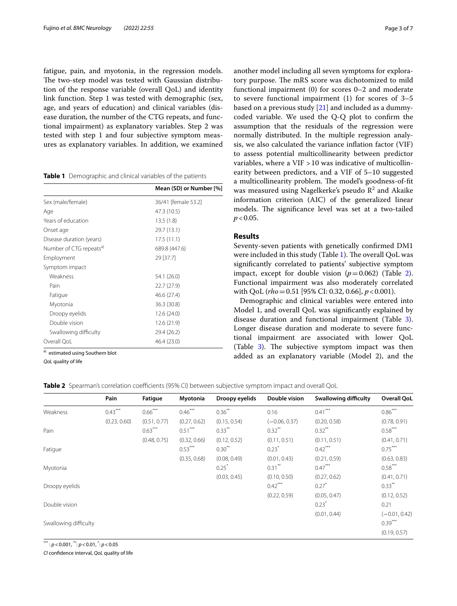fatigue, pain, and myotonia, in the regression models. The two-step model was tested with Gaussian distribution of the response variable (overall QoL) and identity link function. Step 1 was tested with demographic (sex, age, and years of education) and clinical variables (disease duration, the number of the CTG repeats, and functional impairment) as explanatory variables. Step 2 was tested with step 1 and four subjective symptom measures as explanatory variables. In addition, we examined

<span id="page-2-0"></span>

|  | Table 1 Demographic and clinical variables of the patients |  |  |
|--|------------------------------------------------------------|--|--|
|--|------------------------------------------------------------|--|--|

|                                     | Mean (SD) or Number [%] |
|-------------------------------------|-------------------------|
| Sex (male/female)                   | 36/41 [female 53.2]     |
| Age                                 | 47.3 (10.5)             |
| Years of education                  | 13.5(1.8)               |
| Onset age                           | 29.7 (13.1)             |
| Disease duration (years)            | 17.5(11.1)              |
| Number of CTG repeats <sup>a)</sup> | 689.8 (447.6)           |
| Employment                          | 29 [37.7]               |
| Symptom impact                      |                         |
| Weakness                            | 54.1 (26.0)             |
| Pain                                | 22.7 (27.9)             |
| Fatigue                             | 46.6 (27.4)             |
| Myotonia                            | 36.3 (30.8)             |
| Droopy eyelids                      | 12.6 (24.0)             |
| Double vision                       | 12.6 (21.9)             |
| Swallowing difficulty               | 29.4 (26.2)             |
| Overall QoL                         | 46.4 (23.0)             |
| $\sim$                              |                         |

a) estimated using Southern blot

*QoL* quality of life

another model including all seven symptoms for exploratory purpose. The mRS score was dichotomized to mild functional impairment (0) for scores 0–2 and moderate to severe functional impairment (1) for scores of 3–5 based on a previous study  $[21]$  $[21]$  and included as a dummycoded variable. We used the Q-Q plot to confrm the assumption that the residuals of the regression were normally distributed. In the multiple regression analysis, we also calculated the variance infation factor (VIF) to assess potential multicollinearity between predictor variables, where a VIF >10 was indicative of multicollinearity between predictors, and a VIF of 5–10 suggested a multicollinearity problem. The model's goodness-of-fit was measured using Nagelkerke's pseudo  $R^2$  and Akaike information criterion (AIC) of the generalized linear models. The significance level was set at a two-tailed  $p < 0.05$ .

# **Results**

Seventy-seven patients with genetically confrmed DM1 were included in this study (Table [1](#page-2-0)). The overall QoL was signifcantly correlated to patients' subjective symptom impact, except for double vision  $(p=0.062)$  $(p=0.062)$  $(p=0.062)$  (Table 2). Functional impairment was also moderately correlated with QoL (*rho*=0.51 [95% CI: 0.32, 0.66], *p*<0.001).

Demographic and clinical variables were entered into Model 1, and overall QoL was signifcantly explained by disease duration and functional impairment (Table [3](#page-3-0)). Longer disease duration and moderate to severe functional impairment are associated with lower QoL (Table  $3$ ). The subjective symptom impact was then added as an explanatory variable (Model 2), and the

<span id="page-2-1"></span>

| Table 2 Spearman's correlation coefficients (95% CI) between subjective symptom impact and overall QoL |  |
|--------------------------------------------------------------------------------------------------------|--|
|--------------------------------------------------------------------------------------------------------|--|

|                       | Pain         | Fatigue      | Myotonia     | Droopy eyelids | Double vision   | Swallowing difficulty | <b>Overall QoL</b> |
|-----------------------|--------------|--------------|--------------|----------------|-----------------|-----------------------|--------------------|
| Weakness              | $0.43***$    | $0.66***$    | $0.46***$    | $0.36***$      | 0.16            | $0.41***$             | $0.86***$          |
|                       | (0.23, 0.60) | (0.51, 0.77) | (0.27, 0.62) | (0.15, 0.54)   | $(-0.06, 0.37)$ | (0.20, 0.58)          | (0.78, 0.91)       |
| Pain                  |              | $0.63***$    | $0.51***$    | $0.33***$      | $0.32***$       | $0.32***$             | $0.58***$          |
|                       |              | (0.48, 0.75) | (0.32, 0.66) | (0.12, 0.52)   | (0.11, 0.51)    | (0.11, 0.51)          | (0.41, 0.71)       |
| Fatigue               |              |              | $0.53***$    | $0.30^{**}$    | 0.23            | $0.42***$             | $0.75***$          |
|                       |              |              | (0.35, 0.68) | (0.08, 0.49)   | (0.01, 0.43)    | (0.21, 0.59)          | (0.63, 0.83)       |
| Myotonia              |              |              |              | $0.25^*$       | $0.31***$       | $0.47***$             | $0.58***$          |
|                       |              |              |              | (0.03, 0.45)   | (0.10, 0.50)    | (0.27, 0.62)          | (0.41, 0.71)       |
| Droopy eyelids        |              |              |              |                | $0.42***$       | 0.27                  | $0.33***$          |
|                       |              |              |              |                | (0.22, 0.59)    | (0.05, 0.47)          | (0.12, 0.52)       |
| Double vision         |              |              |              |                |                 | 0.23                  | 0.21               |
|                       |              |              |              |                |                 | (0.01, 0.44)          | $(-0.01, 0.42)$    |
| Swallowing difficulty |              |              |              |                |                 |                       | $0.39***$          |
|                       |              |              |              |                |                 |                       | (0.19, 0.57)       |

\*\*\* : *p*<0.001, \*\*: *p*<0.01, \* : *p*<0.05

*CI* confdence interval, *QoL* quality of life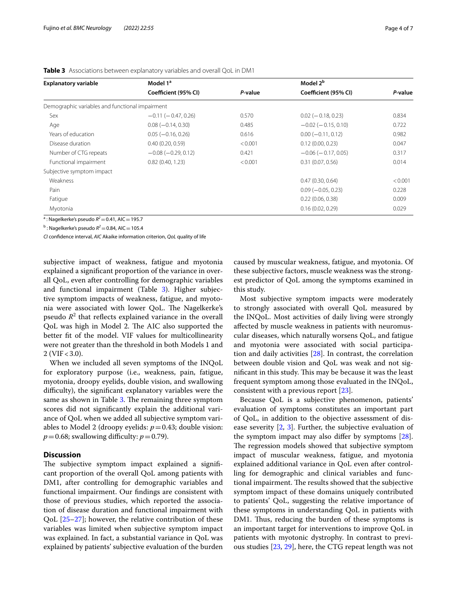| <b>Explanatory variable</b>                     | Model 1 <sup>a</sup>      |         | Model 2 <sup>b</sup>      |         |
|-------------------------------------------------|---------------------------|---------|---------------------------|---------|
|                                                 | Coefficient (95% CI)      | P-value | Coefficient (95% CI)      | P-value |
| Demographic variables and functional impairment |                           |         |                           |         |
| Sex                                             | $-0.11 (-0.47, 0.26)$     | 0.570   | $0.02$ ( $-0.18$ , 0.23)  | 0.834   |
| Age                                             | $0.08 (-0.14, 0.30)$      | 0.485   | $-0.02$ ( $-0.15, 0.10$ ) | 0.722   |
| Years of education                              | $0.05 (-0.16, 0.26)$      | 0.616   | $0.00 (-0.11, 0.12)$      | 0.982   |
| Disease duration                                | 0.40(0.20, 0.59)          | < 0.001 | 0.12(0.00, 0.23)          | 0.047   |
| Number of CTG repeats                           | $-0.08$ ( $-0.29$ , 0.12) | 0.421   | $-0.06$ ( $-0.17, 0.05$ ) | 0.317   |
| Functional impairment                           | 0.82(0.40, 1.23)          | < 0.001 | 0.31(0.07, 0.56)          | 0.014   |
| Subjective symptom impact                       |                           |         |                           |         |
| Weakness                                        |                           |         | 0.47(0.30, 0.64)          | < 0.001 |
| Pain                                            |                           |         | $0.09 (-0.05, 0.23)$      | 0.228   |
| Fatigue                                         |                           |         | 0.22(0.06, 0.38)          | 0.009   |
| Myotonia                                        |                           |         | 0.16(0.02, 0.29)          | 0.029   |

<span id="page-3-0"></span>**Table 3** Associations between explanatory variables and overall QoL in DM1

 $a$ : Nagelkerke's pseudo  $R^2$  = 0.41, AIC = 195.7

 $\rm ^b$ : Nagelkerke's pseudo  $R^2$  = 0.84, AIC = 105.4

*CI* confdence interval, *AIC* Akaike information criterion, *QoL* quality of life

subjective impact of weakness, fatigue and myotonia explained a signifcant proportion of the variance in overall QoL, even after controlling for demographic variables and functional impairment (Table [3\)](#page-3-0). Higher subjective symptom impacts of weakness, fatigue, and myotonia were associated with lower QoL. The Nagelkerke's pseudo  $R^2$  that reflects explained variance in the overall QoL was high in Model 2. The AIC also supported the better ft of the model. VIF values for multicollinearity were not greater than the threshold in both Models 1 and  $2 (VIF < 3.0)$ .

When we included all seven symptoms of the INQoL for exploratory purpose (i.e., weakness, pain, fatigue, myotonia, droopy eyelids, double vision, and swallowing difficulty), the significant explanatory variables were the same as shown in Table [3](#page-3-0). The remaining three symptom scores did not signifcantly explain the additional variance of QoL when we added all subjective symptom variables to Model 2 (droopy eyelids:  $p = 0.43$ ; double vision:  $p=0.68$ ; swallowing difficulty:  $p=0.79$ ).

# **Discussion**

The subjective symptom impact explained a significant proportion of the overall QoL among patients with DM1, after controlling for demographic variables and functional impairment. Our fndings are consistent with those of previous studies, which reported the association of disease duration and functional impairment with  $QoL$  [ $25-27$ ]; however, the relative contribution of these variables was limited when subjective symptom impact was explained. In fact, a substantial variance in QoL was explained by patients' subjective evaluation of the burden caused by muscular weakness, fatigue, and myotonia. Of these subjective factors, muscle weakness was the strongest predictor of QoL among the symptoms examined in this study.

Most subjective symptom impacts were moderately to strongly associated with overall QoL measured by the INQoL. Most activities of daily living were strongly afected by muscle weakness in patients with neuromuscular diseases, which naturally worsens QoL, and fatigue and myotonia were associated with social participation and daily activities [\[28\]](#page-5-24). In contrast, the correlation between double vision and QoL was weak and not significant in this study. This may be because it was the least frequent symptom among those evaluated in the INQoL, consistent with a previous report [[23\]](#page-5-20).

Because QoL is a subjective phenomenon, patients' evaluation of symptoms constitutes an important part of QoL, in addition to the objective assessment of disease severity [[2,](#page-5-1) [3](#page-5-2)]. Further, the subjective evaluation of the symptom impact may also difer by symptoms [\[28](#page-5-24)]. The regression models showed that subjective symptom impact of muscular weakness, fatigue, and myotonia explained additional variance in QoL even after controlling for demographic and clinical variables and functional impairment. The results showed that the subjective symptom impact of these domains uniquely contributed to patients' QoL, suggesting the relative importance of these symptoms in understanding QoL in patients with DM1. Thus, reducing the burden of these symptoms is an important target for interventions to improve QoL in patients with myotonic dystrophy. In contrast to previous studies [[23,](#page-5-20) [29](#page-5-25)], here, the CTG repeat length was not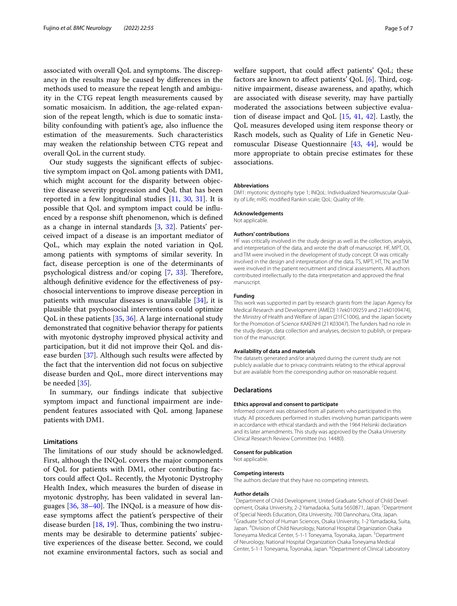associated with overall QoL and symptoms. The discrepancy in the results may be caused by diferences in the methods used to measure the repeat length and ambiguity in the CTG repeat length measurements caused by somatic mosaicism. In addition, the age-related expansion of the repeat length, which is due to somatic instability confounding with patient's age, also infuence the estimation of the measurements. Such characteristics may weaken the relationship between CTG repeat and overall QoL in the current study.

Our study suggests the signifcant efects of subjective symptom impact on QoL among patients with DM1, which might account for the disparity between objective disease severity progression and QoL that has been reported in a few longitudinal studies [\[11](#page-5-8), [30,](#page-5-26) [31\]](#page-5-27). It is possible that QoL and symptom impact could be infuenced by a response shift phenomenon, which is defned as a change in internal standards [[3,](#page-5-2) [32\]](#page-5-28). Patients' perceived impact of a disease is an important mediator of QoL, which may explain the noted variation in QoL among patients with symptoms of similar severity. In fact, disease perception is one of the determinants of psychological distress and/or coping  $[7, 33]$  $[7, 33]$  $[7, 33]$  $[7, 33]$  $[7, 33]$ . Therefore, although defnitive evidence for the efectiveness of psychosocial interventions to improve disease perception in patients with muscular diseases is unavailable [[34\]](#page-5-31), it is plausible that psychosocial interventions could optimize QoL in these patients [[35,](#page-5-32) [36](#page-5-33)]. A large international study demonstrated that cognitive behavior therapy for patients with myotonic dystrophy improved physical activity and participation, but it did not improve their QoL and disease burden [\[37](#page-5-34)]. Although such results were afected by the fact that the intervention did not focus on subjective disease burden and QoL, more direct interventions may be needed [\[35\]](#page-5-32).

In summary, our fndings indicate that subjective symptom impact and functional impairment are independent features associated with QoL among Japanese patients with DM1.

# **Limitations**

The limitations of our study should be acknowledged. First, although the INQoL covers the major components of QoL for patients with DM1, other contributing factors could afect QoL. Recently, the Myotonic Dystrophy Health Index, which measures the burden of disease in myotonic dystrophy, has been validated in several languages  $[36, 38-40]$  $[36, 38-40]$  $[36, 38-40]$  $[36, 38-40]$ . The INQoL is a measure of how disease symptoms afect the patient's perspective of their disease burden  $[18, 19]$  $[18, 19]$  $[18, 19]$ . Thus, combining the two instruments may be desirable to determine patients' subjective experiences of the disease better. Second, we could not examine environmental factors, such as social and welfare support, that could afect patients' QoL; these factors are known to affect patients' QoL  $[6]$  $[6]$ . Third, cognitive impairment, disease awareness, and apathy, which are associated with disease severity, may have partially moderated the associations between subjective evaluation of disease impact and QoL [[15](#page-5-12), [41](#page-6-2), [42\]](#page-6-3). Lastly, the QoL measures developed using item response theory or Rasch models, such as Quality of Life in Genetic Neuromuscular Disease Questionnaire [\[43](#page-6-4), [44\]](#page-6-5), would be more appropriate to obtain precise estimates for these associations.

# **Abbreviations**

DM1: myotonic dystrophy type 1; INQoL: Individualized Neuromuscular Quality of Life; mRS: modifed Rankin scale; QoL: Quality of life.

# **Acknowledgements**

Not applicable.

#### **Authors' contributions**

HF was critically involved in the study design as well as the collection, analysis, and interpretation of the data, and wrote the draft of manuscript. HF, MPT, OI, and TM were involved in the development of study concept. OI was critically involved in the design and interpretation of the data. TS, MPT, HT, TN, and TM were involved in the patient recruitment and clinical assessments. All authors contributed intellectually to the data interpretation and approved the fnal manuscript.

#### **Funding**

This work was supported in part by research grants from the Japan Agency for Medical Research and Development (AMED) 17ek0109259 and 21ek0109474), the Ministry of Health and Welfare of Japan (21FC1006), and the Japan Society for the Promotion of Science KAKENHI (21 K03047). The funders had no role in the study design, data collection and analyses, decision to publish, or preparation of the manuscript.

#### **Availability of data and materials**

The datasets generated and/or analyzed during the current study are not publicly available due to privacy constraints relating to the ethical approval but are available from the corresponding author on reasonable request.

#### **Declarations**

# **Ethics approval and consent to participate**

Informed consent was obtained from all patients who participated in this study. All procedures performed in studies involving human participants were in accordance with ethical standards and with the 1964 Helsinki declaration and its later amendments. This study was approved by the Osaka University Clinical Research Review Committee (no. 14480).

### **Consent for publication**

Not applicable.

#### **Competing interests**

The authors declare that they have no competing interests.

#### **Author details**

<sup>1</sup> Department of Child Development, United Graduate School of Child Development, Osaka University, 2-2 Yamadaoka, Suita 5650871, Japan. <sup>2</sup>Department of Special Needs Education, Oita University, 700 Dannoharu, Oita, Japan. 3 <sup>3</sup>Graduate School of Human Sciences, Osaka University, 1-2 Yamadaoka, Suita, Japan. 4 Division of Child Neurology, National Hospital Organization Osaka Toneyama Medical Center, 5-1-1 Toneyama, Toyonaka, Japan. <sup>5</sup>Department of Neurology, National Hospital Organization Osaka Toneyama Medical Center, 5-1-1 Toneyama, Toyonaka, Japan. <sup>6</sup> Department of Clinical Laboratory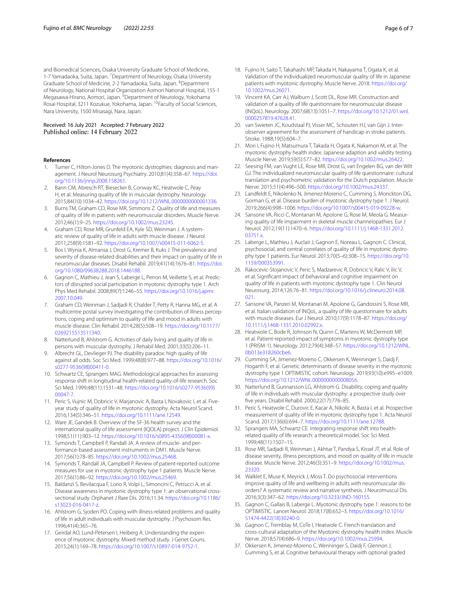and Biomedical Sciences, Osaka University Graduate School of Medicine, 1-7 Yamadaoka, Suita, Japan. <sup>7</sup> Department of Neurology, Osaka University Graduate School of Medicine, 2-2 Yamadaoka, Suita, Japan. <sup>8</sup>Department of Neurology, National Hospital Organization Aomori National Hospital, 155-1 Megasawa-Hirano, Aomori, Japan. <sup>9</sup>Department of Neurology, Yokohama Rosai Hospital, 3211 Kozukue, Yokohama, Japan. 10Faculty of Social Sciences, Nara University, 1500 Misasagi, Nara, Japan.

# Received: 16 July 2021 Accepted: 7 February 2022<br>Published online: 14 February 2022

#### **References**

- <span id="page-5-0"></span>1. Turner C, Hilton-Jones D. The myotonic dystrophies: diagnosis and management. J Neurol Neurosurg Psychiatry. 2010;81(4):358–67. [https://doi.](https://doi.org/10.1136/jnnp.2008.158261) [org/10.1136/jnnp.2008.158261](https://doi.org/10.1136/jnnp.2008.158261).
- <span id="page-5-1"></span>2. Bann CM, Abresch RT, Biesecker B, Conway KC, Heatwole C, Peay H, et al. Measuring quality of life in muscular dystrophy. Neurology. 2015;84(10):1034–42.<https://doi.org/10.1212/WNL.0000000000001336>.
- <span id="page-5-2"></span>3. Burns TM, Graham CD, Rose MR, Simmons Z. Quality of life and measures of quality of life in patients with neuromuscular disorders. Muscle Nerve. 2012;46(1):9–25. [https://doi.org/10.1002/mus.23245.](https://doi.org/10.1002/mus.23245)
- <span id="page-5-3"></span>4. Graham CD, Rose MR, Grunfeld EA, Kyle SD, Weinman J. A systematic review of quality of life in adults with muscle disease. J Neurol. 2011;258(9):1581–92.<https://doi.org/10.1007/s00415-011-6062-5>.
- <span id="page-5-4"></span>5. Bos I, Wynia K, Almansa J, Drost G, Kremer B, Kuks J. The prevalence and severity of disease-related disabilities and their impact on quality of life in neuromuscular diseases. Disabil Rehabil. 2019;41(14):1676–81. [https://doi.](https://doi.org/10.1080/09638288.2018.1446188) [org/10.1080/09638288.2018.1446188.](https://doi.org/10.1080/09638288.2018.1446188)
- <span id="page-5-35"></span>6. Gagnon C, Mathieu J, Jean S, Laberge L, Perron M, Veillette S, et al. Predictors of disrupted social participation in myotonic dystrophy type 1. Arch Phys Med Rehabil. 2008;89(7):1246–55. [https://doi.org/10.1016/j.apmr.](https://doi.org/10.1016/j.apmr.2007.10.049) [2007.10.049](https://doi.org/10.1016/j.apmr.2007.10.049).
- <span id="page-5-29"></span>7. Graham CD, Weinman J, Sadjadi R, Chalder T, Petty R, Hanna MG, et al. A multicentre postal survey investigating the contribution of illness perceptions, coping and optimism to quality of life and mood in adults with muscle disease. Clin Rehabil. 2014;28(5):508–19. [https://doi.org/10.1177/](https://doi.org/10.1177/0269215513511340) [0269215513511340](https://doi.org/10.1177/0269215513511340).
- <span id="page-5-5"></span>8. Natterlund B, Ahlstrom G. Activities of daily living and quality of life in persons with muscular dystrophy. J Rehabil Med. 2001;33(5):206–11.
- <span id="page-5-6"></span>9. Albrecht GL, Devlieger PJ. The disability paradox: high quality of life against all odds. Soc Sci Med. 1999;48(8):977–88. [https://doi.org/10.1016/](https://doi.org/10.1016/s0277-9536(98)00411-0) [s0277-9536\(98\)00411-0](https://doi.org/10.1016/s0277-9536(98)00411-0).
- <span id="page-5-7"></span>10. Schwartz CE, Sprangers MAG. Methodological approaches for assessing response shift in longitudinal health-related quality-of-life research. Soc Sci Med. 1999;48(11):1531–48. [https://doi.org/10.1016/s0277-9536\(99\)](https://doi.org/10.1016/s0277-9536(99)00047-7) [00047-7.](https://doi.org/10.1016/s0277-9536(99)00047-7)
- <span id="page-5-8"></span>11. Peric S, Vujnic M, Dobricic V, Marjanovic A, Basta I, Novakovic I, et al. Fiveyear study of quality of life in myotonic dystrophy. Acta Neurol Scand. 2016;134(5):346–51. [https://doi.org/10.1111/ane.12549.](https://doi.org/10.1111/ane.12549)
- <span id="page-5-9"></span>12. Ware JE, Gandek B. Overview of the SF-36 health survey and the international quality of life assessment (IQOLA) project. J Clin Epidemiol. 1998;51(11):903–12. [https://doi.org/10.1016/s0895-4356\(98\)00081-x.](https://doi.org/10.1016/s0895-4356(98)00081-x)
- <span id="page-5-10"></span>13. Symonds T, Campbell P, Randall JA. A review of muscle- and performance-based assessment instruments in DM1. Muscle Nerve. 2017;56(1):78–85. [https://doi.org/10.1002/mus.25468.](https://doi.org/10.1002/mus.25468)
- <span id="page-5-11"></span>14. Symonds T, Randall JA, Campbell P. Review of patient-reported outcome measures for use in myotonic dystrophy type 1 patients. Muscle Nerve. 2017;56(1):86–92. [https://doi.org/10.1002/mus.25469.](https://doi.org/10.1002/mus.25469)
- <span id="page-5-12"></span>15. Baldanzi S, Bevilacqua F, Lorio R, Volpi L, Simoncini C, Petrucci A, et al. Disease awareness in myotonic dystrophy type 1: an observational crosssectional study. Orphanet J Rare Dis. 2016;11:34. [https://doi.org/10.1186/](https://doi.org/10.1186/s13023-016-0417-z) [s13023-016-0417-z](https://doi.org/10.1186/s13023-016-0417-z).
- <span id="page-5-13"></span>16. Ahlstrom G, Sjoden PO. Coping with illness-related problems and quality of life in adult individuals with muscular dystrophy. J Psychosom Res. 1996;41(4):365–76.
- <span id="page-5-14"></span>17. Geirdal AO, Lund-Petersen I, Heiberg A. Understanding the experience of myotonic dystrophy. Mixed method study. J Genet Couns. 2015;24(1):169–78. [https://doi.org/10.1007/s10897-014-9752-1.](https://doi.org/10.1007/s10897-014-9752-1)
- <span id="page-5-15"></span>18. Fujino H, Saito T, Takahashi MP, Takada H, Nakayama T, Ogata K, et al. Validation of the individualized neuromuscular quality of life in Japanese patients with myotonic dystrophy. Muscle Nerve. 2018. [https://doi.org/](https://doi.org/10.1002/mus.26071) [10.1002/mus.26071](https://doi.org/10.1002/mus.26071).
- <span id="page-5-16"></span>19. Vincent KA, Carr AJ, Walburn J, Scott DL, Rose MR. Construction and validation of a quality of life questionnaire for neuromuscular disease (INQoL). Neurology. 2007;68(13):1051–7. [https://doi.org/10.1212/01.wnl.](https://doi.org/10.1212/01.wnl.0000257819.47628.41) [0000257819.47628.41.](https://doi.org/10.1212/01.wnl.0000257819.47628.41)
- <span id="page-5-17"></span>20. van Swieten JC, Koudstaal PJ, Visser MC, Schouten HJ, van Gijn J. Interobserver agreement for the assessment of handicap in stroke patients. Stroke. 1988;19(5):604–7.
- <span id="page-5-18"></span>21. Mori I, Fujino H, Matsumura T, Takada H, Ogata K, Nakamori M, et al. The myotonic dystrophy health index: Japanese adaption and validity testing. Muscle Nerve. 2019;59(5):577–82. [https://doi.org/10.1002/mus.26422.](https://doi.org/10.1002/mus.26422)
- <span id="page-5-19"></span>22. Seesing FM, van Vught LE, Rose MR, Drost G, van Engelen BG, van der Wilt GJ. The individualized neuromuscular quality of life questionnaire: cultural translation and psychometric validation for the Dutch population. Muscle Nerve. 2015;51(4):496–500. [https://doi.org/10.1002/mus.24337.](https://doi.org/10.1002/mus.24337)
- <span id="page-5-20"></span>23. Landfeldt E, Nikolenko N, Jimenez-Moreno C, Cumming S, Monckton DG, Gorman G, et al. Disease burden of myotonic dystrophy type 1. J Neurol. 2019;266(4):998–1006. [https://doi.org/10.1007/s00415-019-09228-w.](https://doi.org/10.1007/s00415-019-09228-w)
- <span id="page-5-21"></span>24. Sansone VA, Ricci C, Montanari M, Apolone G, Rose M, Meola G. Measuring quality of life impairment in skeletal muscle channelopathies. Eur J Neurol. 2012;19(11):1470–6. [https://doi.org/10.1111/j.1468-1331.2012.](https://doi.org/10.1111/j.1468-1331.2012.03751.x) [03751.x.](https://doi.org/10.1111/j.1468-1331.2012.03751.x)
- <span id="page-5-22"></span>25. Laberge L, Mathieu J, Auclair J, Gagnon E, Noreau L, Gagnon C. Clinical, psychosocial, and central correlates of quality of life in myotonic dystrophy type 1 patients. Eur Neurol. 2013;70(5–6):308–15. [https://doi.org/10.](https://doi.org/10.1159/000353991) [1159/000353991.](https://doi.org/10.1159/000353991)
- 26. Rakocevic-Stojanovic V, Peric S, Madzarevic R, Dobricic V, Ralic V, Ilic V, et al. Signifcant impact of behavioral and cognitive impairment on quality of life in patients with myotonic dystrophy type 1. Clin Neurol Neurosurg. 2014;126:76–81. [https://doi.org/10.1016/j.clineuro.2014.08.](https://doi.org/10.1016/j.clineuro.2014.08.021) [021.](https://doi.org/10.1016/j.clineuro.2014.08.021)
- <span id="page-5-23"></span>27. Sansone VA, Panzeri M, Montanari M, Apolone G, Gandossini S, Rose MR, et al. Italian validation of INQoL, a quality of life questionnaire for adults with muscle diseases. Eur J Neurol. 2010;17(9):1178–87. [https://doi.org/](https://doi.org/10.1111/j.1468-1331.2010.02992.x) [10.1111/j.1468-1331.2010.02992.x](https://doi.org/10.1111/j.1468-1331.2010.02992.x).
- <span id="page-5-24"></span>28. Heatwole C, Bode R, Johnson N, Quinn C, Martens W, McDermott MP, et al. Patient-reported impact of symptoms in myotonic dystrophy type 1 (PRISM-1). Neurology. 2012;79(4):348–57. [https://doi.org/10.1212/WNL.](https://doi.org/10.1212/WNL.0b013e318260cbe6) [0b013e318260cbe6.](https://doi.org/10.1212/WNL.0b013e318260cbe6)
- <span id="page-5-25"></span>29. Cumming SA, Jimenez-Moreno C, Okkersen K, Wenninger S, Daidj F, Hogarth F, et al. Genetic determinants of disease severity in the myotonic dystrophy type 1 OPTIMISTIC cohort. Neurology. 2019;93(10):e995–e1009. [https://doi.org/10.1212/WNL.0000000000008056.](https://doi.org/10.1212/WNL.0000000000008056)
- <span id="page-5-26"></span>30. Natterlund B, Gunnarsson LG, Ahlstrom G. Disability, coping and quality of life in individuals with muscular dystrophy: a prospective study over fve years. Disabil Rehabil. 2000;22(17):776–85.
- <span id="page-5-27"></span>31. Peric S, Heatwole C, Durovic E, Kacar A, Nikolic A, Basta I, et al. Prospective measurement of quality of life in myotonic dystrophy type 1. Acta Neurol Scand. 2017;136(6):694–7. [https://doi.org/10.1111/ane.12788.](https://doi.org/10.1111/ane.12788)
- <span id="page-5-28"></span>32. Sprangers MA, Schwartz CE. Integrating response shift into healthrelated quality of life research: a theoretical model. Soc Sci Med. 1999;48(11):1507–15.
- <span id="page-5-30"></span>33. Rose MR, Sadjadi R, Weinman J, Akhtar T, Pandya S, Kissel JT, et al. Role of disease severity, illness perceptions, and mood on quality of life in muscle disease. Muscle Nerve. 2012;46(3):351–9. [https://doi.org/10.1002/mus.](https://doi.org/10.1002/mus.23320) [23320](https://doi.org/10.1002/mus.23320).
- <span id="page-5-31"></span>34. Walklet E, Muse K, Meyrick J, Moss T. Do psychosocial interventions improve quality of life and wellbeing in adults with neuromuscular disorders? A systematic review and narrative synthesis. J Neuromuscul Dis. 2016;3(3):347–62. [https://doi.org/10.3233/JND-160155.](https://doi.org/10.3233/JND-160155)
- <span id="page-5-32"></span>35. Gagnon C, Gallais B, Laberge L. Myotonic dystrophy type 1: reasons to be OPTIMISTIC. Lancet Neurol. 2018;17(8):652–3. [https://doi.org/10.1016/](https://doi.org/10.1016/S1474-4422(18)30240-0) [S1474-4422\(18\)30240-0](https://doi.org/10.1016/S1474-4422(18)30240-0).
- <span id="page-5-33"></span>36. Gagnon C, Tremblay M, CoTe I, Heatwole C. French translation and cross-cultural adaptation of the Myotonic dystrophy health index. Muscle Nerve. 2018;57(4):686–9. <https://doi.org/10.1002/mus.25994>.
- <span id="page-5-34"></span>37. Okkersen K, Jimenez-Moreno C, Wenninger S, Daidj F, Glennon J, Cumming S, et al. Cognitive behavioural therapy with optional graded